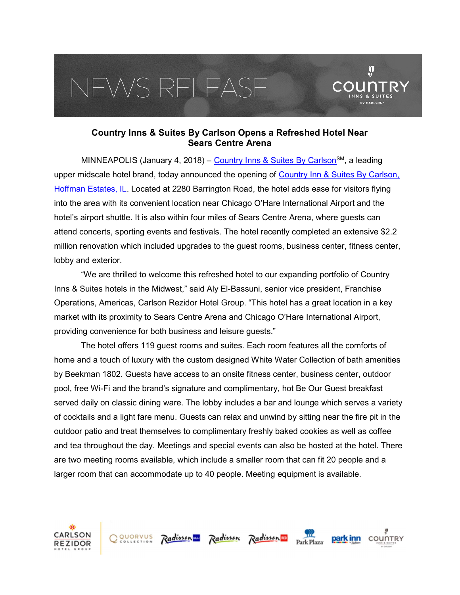## EWS RELEAS



 $\mathbf{Q}$ 

MINNEAPOLIS (January 4, 2018) – Country Inns & Suites By Carlson<sup>SM</sup>, a leading upper midscale hotel brand, today announced the opening of Country Inn & Suites By Carlson, Hoffman Estates, IL. Located at 2280 Barrington Road, the hotel adds ease for visitors flying into the area with its convenient location near Chicago O'Hare International Airport and the hotel's airport shuttle. It is also within four miles of Sears Centre Arena, where guests can attend concerts, sporting events and festivals. The hotel recently completed an extensive \$2.2 million renovation which included upgrades to the guest rooms, business center, fitness center, lobby and exterior.

"We are thrilled to welcome this refreshed hotel to our expanding portfolio of Country Inns & Suites hotels in the Midwest," said Aly El-Bassuni, senior vice president, Franchise Operations, Americas, Carlson Rezidor Hotel Group. "This hotel has a great location in a key market with its proximity to Sears Centre Arena and Chicago O'Hare International Airport, providing convenience for both business and leisure guests."

The hotel offers 119 guest rooms and suites. Each room features all the comforts of home and a touch of luxury with the custom designed White Water Collection of bath amenities by Beekman 1802. Guests have access to an onsite fitness center, business center, outdoor pool, free Wi-Fi and the brand's signature and complimentary, hot Be Our Guest breakfast served daily on classic dining ware. The lobby includes a bar and lounge which serves a variety of cocktails and a light fare menu. Guests can relax and unwind by sitting near the fire pit in the outdoor patio and treat themselves to complimentary freshly baked cookies as well as coffee and tea throughout the day. Meetings and special events can also be hosted at the hotel. There are two meeting rooms available, which include a smaller room that can fit 20 people and a larger room that can accommodate up to 40 people. Meeting equipment is available.